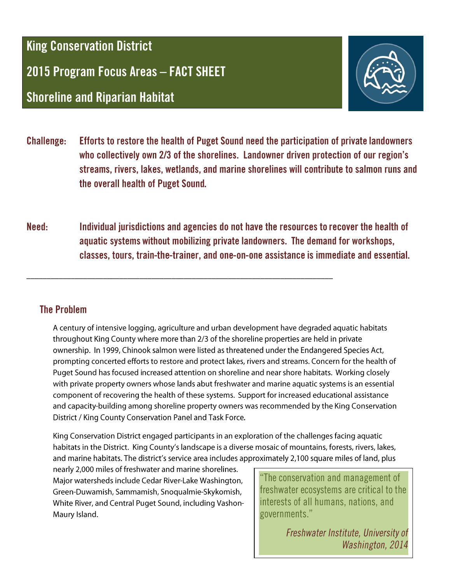**King Conservation District** 

2015 Program Focus Areas - FACT SHEET

**Shoreline and Riparian Habitat** 



- Efforts to restore the health of Puget Sound need the participation of private landowners **Challenge:** who collectively own 2/3 of the shorelines. Landowner driven protection of our region's streams, rivers, lakes, wetlands, and marine shorelines will contribute to salmon runs and the overall health of Puget Sound.
- Individual jurisdictions and agencies do not have the resources to recover the health of Need: aquatic systems without mobilizing private landowners. The demand for workshops, classes, tours, train-the-trainer, and one-on-one assistance is immediate and essential.

## **The Problem**

A century of intensive logging, agriculture and urban development have degraded aquatic habitats throughout King County where more than 2/3 of the shoreline properties are held in private ownership. In 1999, Chinook salmon were listed as threatened under the Endangered Species Act, prompting concerted efforts to restore and protect lakes, rivers and streams. Concern for the health of Puget Sound has focused increased attention on shoreline and near shore habitats. Working closely with private property owners whose lands abut freshwater and marine aquatic systems is an essential component of recovering the health of these systems. Support for increased educational assistance and capacity-building among shoreline property owners was recommended by the King Conservation District / King County Conservation Panel and Task Force.

King Conservation District engaged participants in an exploration of the challenges facing aquatic habitats in the District. King County's landscape is a diverse mosaic of mountains, forests, rivers, lakes, and marine habitats. The district's service area includes approximately 2,100 square miles of land, plus

nearly 2,000 miles of freshwater and marine shorelines. Major watersheds include Cedar River-Lake Washington, Green-Duwamish, Sammamish, Snoqualmie-Skykomish, White River, and Central Puget Sound, including Vashon-Maury Island.

"The conservation and management of freshwater ecosystems are critical to the interests of all humans, nations, and governments."

> Freshwater Institute, University of Washington, 2014